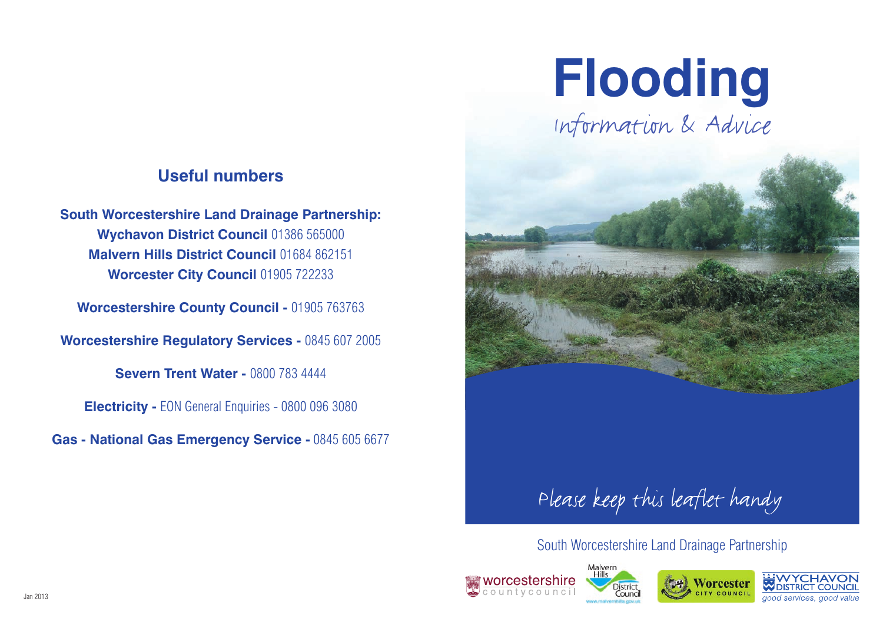#### **Useful numbers**

**South Worcestershire Land Drainage Partnership: Wychavon District Council** 01386 565000 **Malvern Hills District Council** 01684 862151 **Worcester City Council** 01905 722233

**Worcestershire County Council -** 01905 763763

**Worcestershire Regulatory Services -** 0845 607 2005

**Severn Trent Water - 0800 783 4444** 

**Electricity -** EON General Enquiries - 0800 096 3080

**Gas - National Gas Emergency Service -** 0845 605 6677

# **Flooding**

Information & Advice



#### South Worcestershire Land Drainage Partnership







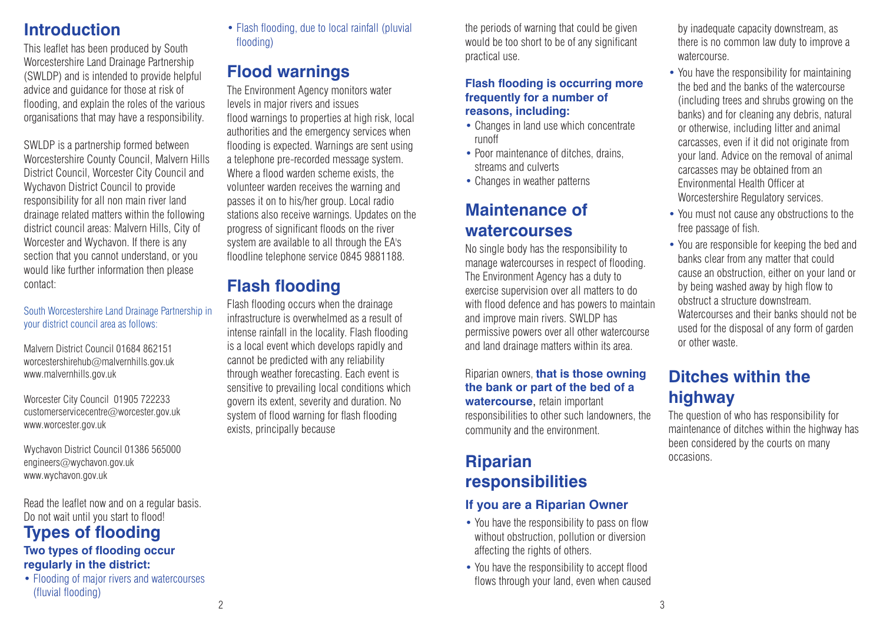#### **Introduction**

This leaflet has been produced by South Worcestershire Land Drainage Partnership (SWLDP) and is intended to provide helpful advice and guidance for those at risk of flooding, and explain the roles of the various organisations that may have a responsibility.

SWLDP is a partnership formed between Worcestershire County Council, Malvern Hills District Council, Worcester City Council and Wychavon District Council to provide responsibility for all non main river land drainage related matters within the following district council areas: Malvern Hills, City of Worcester and Wychavon. If there is any section that you cannot understand, or you would like further information then please contact:

#### South Worcestershire Land Drainage Partnership in your district council area as follows:

Malvern District Council 01684 862151 worcestershirehub@malvernhills.gov.uk www.malvernhills.gov.uk

Worcester City Council 01905 722233 customerservicecentre@worcester.gov.uk www.worcester.gov.uk

Wychavon District Council 01386 565000 engineers@wychavon.gov.uk www.wychavon.gov.uk

Read the leaflet now and on a regular basis. Do not wait until you start to flood!

## **Types of flooding**

#### **Two types of flooding occur regularly in the district:**

• Flooding of major rivers and watercourses (fluvial flooding)

• Flash flooding, due to local rainfall (pluvial flooding)

## **Flood warnings**

The Environment Agency monitors water levels in major rivers and issues flood warnings to properties at high risk, local authorities and the emergency services when flooding is expected. Warnings are sent using a telephone pre-recorded message system. Where a flood warden scheme exists, the volunteer warden receives the warning and passes it on to his/her group. Local radio stations also receive warnings. Updates on the progress of significant floods on the river system are available to all through the EA's floodline telephone service 0845 9881188.

## **Flash flooding**

Flash flooding occurs when the drainage infrastructure is overwhelmed as a result of intense rainfall in the locality. Flash flooding is a local event which develops rapidly and cannot be predicted with any reliability through weather forecasting. Each event is sensitive to prevailing local conditions which govern its extent, severity and duration. No system of flood warning for flash flooding exists, principally because

the periods of warning that could be given would be too short to be of any significant practical use.

#### **Flash flooding is occurring more frequently for a number of reasons, including:**

- Changes in land use which concentrate runoff
- Poor maintenance of ditches, drains, streams and culverts
- Changes in weather patterns

## **Maintenance of watercourses**

No single body has the responsibility to manage watercourses in respect of flooding. The Environment Agency has a duty to exercise supervision over all matters to do with flood defence and has powers to maintain and improve main rivers. SWLDP has permissive powers over all other watercourse and land drainage matters within its area.

Riparian owners, **that is those owning the bank or part of the bed of a watercourse**, retain important responsibilities to other such landowners, the community and the environment.

#### **Riparian responsibilities**

#### **If you are a Riparian Owner**

- You have the responsibility to pass on flow without obstruction, pollution or diversion affecting the rights of others.
- You have the responsibility to accept flood flows through your land, even when caused

by inadequate capacity downstream, as there is no common law duty to improve a watercourse.

- You have the responsibility for maintaining the bed and the banks of the watercourse (including trees and shrubs growing on the banks) and for cleaning any debris, natural or otherwise, including litter and animal carcasses, even if it did not originate from your land. Advice on the removal of animal carcasses may be obtained from an Environmental Health Officer at Worcestershire Regulatory services.
- You must not cause any obstructions to the free passage of fish.
- You are responsible for keeping the bed and banks clear from any matter that could cause an obstruction, either on your land or by being washed away by high flow to obstruct a structure downstream. Watercourses and their banks should not be used for the disposal of any form of garden or other waste.

## **Ditches within the highway**

The question of who has responsibility for maintenance of ditches within the highway has been considered by the courts on many occasions.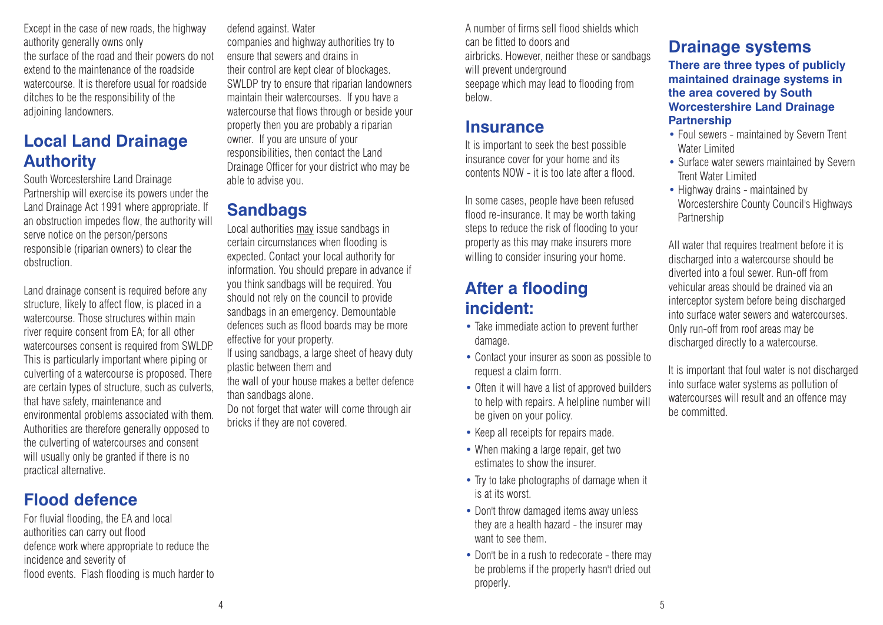Except in the case of new roads, the highway authority generally owns only the surface of the road and their powers do not extend to the maintenance of the roadside watercourse. It is therefore usual for roadside ditches to be the responsibility of the adjoining landowners.

## **Local Land Drainage Authority**

South Worcestershire Land Drainage Partnership will exercise its powers under the Land Drainage Act 1991 where appropriate. If an obstruction impedes flow, the authority will serve notice on the person/persons responsible (riparian owners) to clear the obstruction.

Land drainage consent is required before any structure, likely to affect flow, is placed in a watercourse. Those structures within main river require consent from EA; for all other watercourses consent is required from SWLDP. This is particularly important where piping or culverting of a watercourse is proposed. There are certain types of structure, such as culverts, that have safety, maintenance and environmental problems associated with them. Authorities are therefore generally opposed to the culverting of watercourses and consent will usually only be granted if there is no practical alternative.

#### **Flood defence**

For fluvial flooding, the EA and local authorities can carry out flood defence work where appropriate to reduce the incidence and severity of flood events. Flash flooding is much harder to defend against. Water companies and highway authorities try to ensure that sewers and drains in their control are kept clear of blockages. SWLDP try to ensure that riparian landowners maintain their watercourses. If you have a watercourse that flows through or beside your property then you are probably a riparian owner. If you are unsure of your responsibilities, then contact the Land Drainage Officer for your district who may be able to advise you.

#### **Sandbags**

Local authorities may issue sandbags in certain circumstances when flooding is expected. Contact your local authority for information. You should prepare in advance if you think sandbags will be required. You should not rely on the council to provide sandbags in an emergency. Demountable defences such as flood boards may be more effective for your property.

If using sandbags, a large sheet of heavy duty plastic between them and

the wall of your house makes a better defence than sandbags alone.

Do not forget that water will come through air bricks if they are not covered.

A number of firms sell flood shields which can be fitted to doors and airbricks. However, neither these or sandbags will prevent underground seepage which may lead to flooding from below.

#### **Insurance**

It is important to seek the best possible insurance cover for your home and its contents NOW - it is too late after a flood.

In some cases, people have been refused flood re-insurance. It may be worth taking steps to reduce the risk of flooding to your property as this may make insurers more willing to consider insuring your home.

#### **After a flooding incident:**

- Take immediate action to prevent further damage.
- Contact your insurer as soon as possible to request a claim form.
- Often it will have a list of approved builders to help with repairs. A helpline number will be given on your policy.
- Keep all receipts for repairs made.
- When making a large repair, get two estimates to show the insurer.
- Try to take photographs of damage when it is at its worst.
- Don't throw damaged items away unless they are a health hazard - the insurer may want to see them.
- Don't be in a rush to redecorate there may be problems if the property hasn't dried out properly.

## **Drainage systems**

**There are three types of publicly maintained drainage systems in the area covered by South Worcestershire Land Drainage Partnership**

- Foul sewers maintained by Severn Trent Water Limited
- Surface water sewers maintained by Severn Trent Water Limited
- Highway drains maintained by Worcestershire County Council's Highways Partnership

All water that requires treatment before it is discharged into a watercourse should be diverted into a foul sewer. Run-off from vehicular areas should be drained via an interceptor system before being discharged into surface water sewers and watercourses. Only run-off from roof areas may be discharged directly to a watercourse.

It is important that foul water is not discharged into surface water systems as pollution of watercourses will result and an offence may be committed.